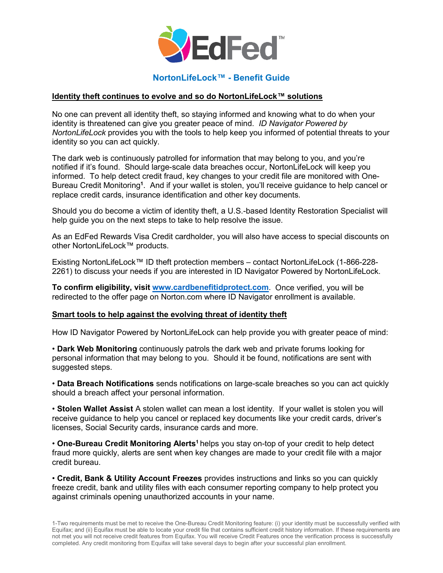

## **NortonLifeLock™ - Benefit Guide**

## **Identity theft continues to evolve and so do NortonLifeLock™ solutions**

No one can prevent all identity theft, so staying informed and knowing what to do when your identity is threatened can give you greater peace of mind. *ID Navigator Powered by NortonLifeLock* provides you with the tools to help keep you informed of potential threats to your identity so you can act quickly.

The dark web is continuously patrolled for information that may belong to you, and you're notified if it's found. Should large-scale data breaches occur, NortonLifeLock will keep you informed. To help detect credit fraud, key changes to your credit file are monitored with One-Bureau Credit Monitoring**<sup>1</sup>** . And if your wallet is stolen, you'll receive guidance to help cancel or replace credit cards, insurance identification and other key documents.

Should you do become a victim of identity theft, a U.S.-based Identity Restoration Specialist will help guide you on the next steps to take to help resolve the issue.

As an EdFed Rewards Visa Credit cardholder, you will also have access to special discounts on other NortonLifeLock™ products.

Existing NortonLifeLock™ ID theft protection members – contact NortonLifeLock (1-866-228- 2261) to discuss your needs if you are interested in ID Navigator Powered by NortonLifeLock.

**To confirm eligibility, visit [www.cardbenefitidprotect.com](http://www.cardbenefitidprotect.com/)**. Once verified, you will be redirected to the offer page on Norton.com where ID Navigator enrollment is available.

## **Smart tools to help against the evolving threat of identity theft**

How ID Navigator Powered by NortonLifeLock can help provide you with greater peace of mind:

• **Dark Web Monitoring** continuously patrols the dark web and private forums looking for personal information that may belong to you. Should it be found, notifications are sent with suggested steps.

• **Data Breach Notifications** sends notifications on large-scale breaches so you can act quickly should a breach affect your personal information.

• **Stolen Wallet Assist** A stolen wallet can mean a lost identity. If your wallet is stolen you will receive guidance to help you cancel or replaced key documents like your credit cards, driver's licenses, Social Security cards, insurance cards and more.

• One-Bureau Credit Monitoring Alerts<sup>1</sup> helps you stay on-top of your credit to help detect fraud more quickly, alerts are sent when key changes are made to your credit file with a major credit bureau.

• **Credit, Bank & Utility Account Freezes** provides instructions and links so you can quickly freeze credit, bank and utility files with each consumer reporting company to help protect you against criminals opening unauthorized accounts in your name.

1-Two requirements must be met to receive the One-Bureau Credit Monitoring feature: (i) your identity must be successfully verified with Equifax; and (ii) Equifax must be able to locate your credit file that contains sufficient credit history information. If these requirements are not met you will not receive credit features from Equifax. You will receive Credit Features once the verification process is successfully completed. Any credit monitoring from Equifax will take several days to begin after your successful plan enrollment.